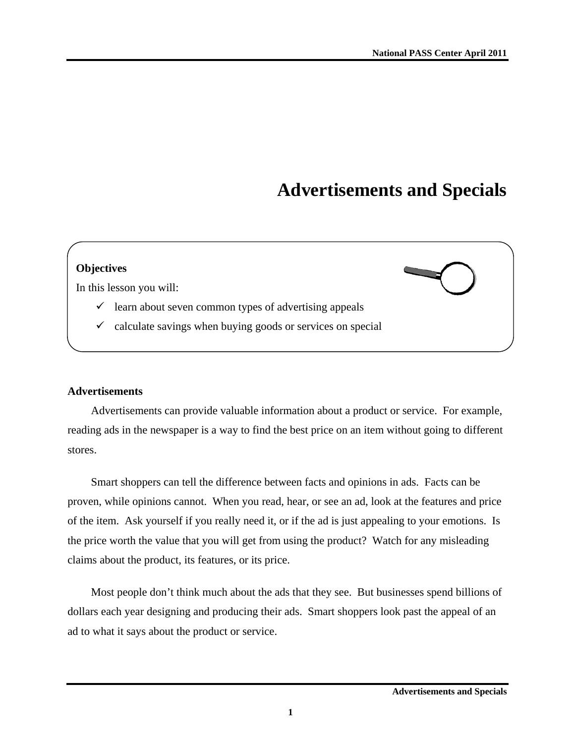# **Advertisements and Specials**



## **Advertisements**

Advertisements can provide valuable information about a product or service. For example, reading ads in the newspaper is a way to find the best price on an item without going to different stores.

Smart shoppers can tell the difference between facts and opinions in ads. Facts can be proven, while opinions cannot. When you read, hear, or see an ad, look at the features and price of the item. Ask yourself if you really need it, or if the ad is just appealing to your emotions. Is the price worth the value that you will get from using the product? Watch for any misleading claims about the product, its features, or its price.

Most people don't think much about the ads that they see. But businesses spend billions of dollars each year designing and producing their ads. Smart shoppers look past the appeal of an ad to what it says about the product or service.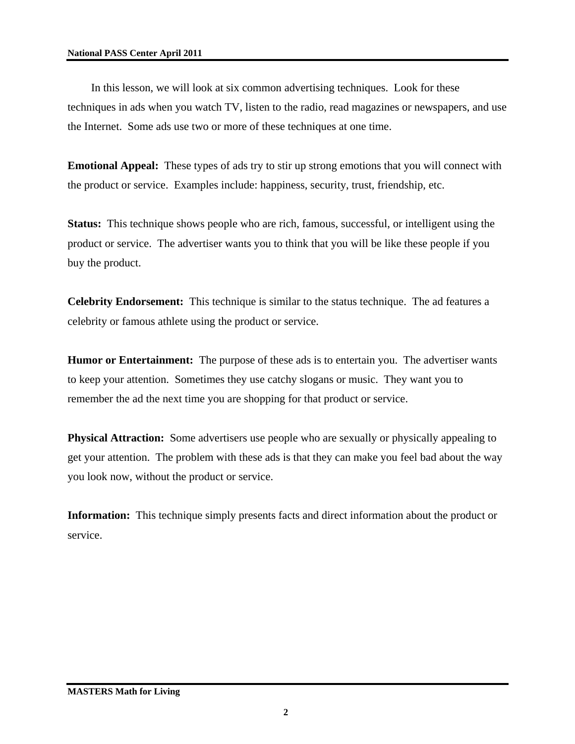In this lesson, we will look at six common advertising techniques. Look for these techniques in ads when you watch TV, listen to the radio, read magazines or newspapers, and use the Internet. Some ads use two or more of these techniques at one time.

**Emotional Appeal:** These types of ads try to stir up strong emotions that you will connect with the product or service. Examples include: happiness, security, trust, friendship, etc.

**Status:** This technique shows people who are rich, famous, successful, or intelligent using the product or service. The advertiser wants you to think that you will be like these people if you buy the product.

**Celebrity Endorsement:** This technique is similar to the status technique. The ad features a celebrity or famous athlete using the product or service.

**Humor or Entertainment:** The purpose of these ads is to entertain you. The advertiser wants to keep your attention. Sometimes they use catchy slogans or music. They want you to remember the ad the next time you are shopping for that product or service.

**Physical Attraction:** Some advertisers use people who are sexually or physically appealing to get your attention. The problem with these ads is that they can make you feel bad about the way you look now, without the product or service.

**Information:** This technique simply presents facts and direct information about the product or service.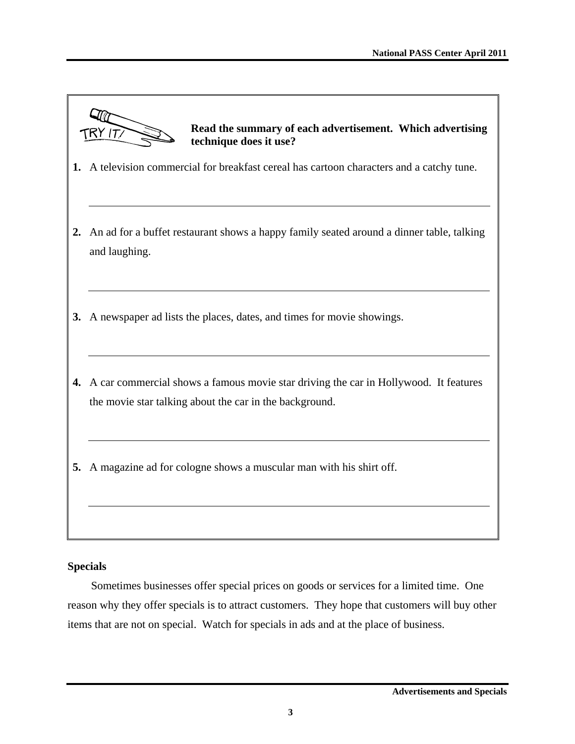f,

|               | Read the summary of each advertisement. Which advertising<br>technique does it use?                                                             |
|---------------|-------------------------------------------------------------------------------------------------------------------------------------------------|
|               | 1. A television commercial for breakfast cereal has cartoon characters and a catchy tune.                                                       |
| $2_{\bullet}$ | An ad for a buffet restaurant shows a happy family seated around a dinner table, talking<br>and laughing.                                       |
| 3.            | A newspaper ad lists the places, dates, and times for movie showings.                                                                           |
| 4.            | A car commercial shows a famous movie star driving the car in Hollywood. It features<br>the movie star talking about the car in the background. |
| 5.            | A magazine ad for cologne shows a muscular man with his shirt off.                                                                              |

# **Specials**

Sometimes businesses offer special prices on goods or services for a limited time. One reason why they offer specials is to attract customers. They hope that customers will buy other items that are not on special. Watch for specials in ads and at the place of business.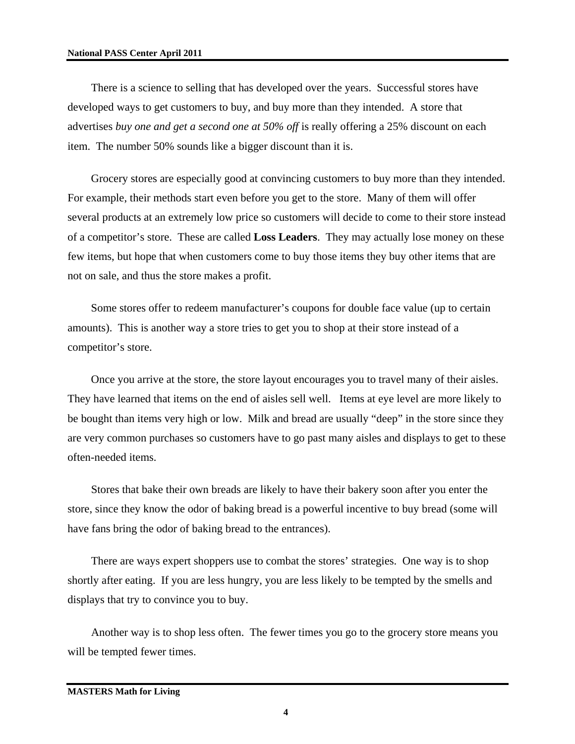#### **National PASS Center April 2011**

There is a science to selling that has developed over the years. Successful stores have developed ways to get customers to buy, and buy more than they intended. A store that advertises *buy one and get a second one at 50% off* is really offering a 25% discount on each item. The number 50% sounds like a bigger discount than it is.

Grocery stores are especially good at convincing customers to buy more than they intended. For example, their methods start even before you get to the store. Many of them will offer several products at an extremely low price so customers will decide to come to their store instead of a competitor's store. These are called **Loss Leaders**. They may actually lose money on these few items, but hope that when customers come to buy those items they buy other items that are not on sale, and thus the store makes a profit.

Some stores offer to redeem manufacturer's coupons for double face value (up to certain amounts). This is another way a store tries to get you to shop at their store instead of a competitor's store.

Once you arrive at the store, the store layout encourages you to travel many of their aisles. They have learned that items on the end of aisles sell well. Items at eye level are more likely to be bought than items very high or low. Milk and bread are usually "deep" in the store since they are very common purchases so customers have to go past many aisles and displays to get to these often-needed items.

Stores that bake their own breads are likely to have their bakery soon after you enter the store, since they know the odor of baking bread is a powerful incentive to buy bread (some will have fans bring the odor of baking bread to the entrances).

There are ways expert shoppers use to combat the stores' strategies. One way is to shop shortly after eating. If you are less hungry, you are less likely to be tempted by the smells and displays that try to convince you to buy.

Another way is to shop less often. The fewer times you go to the grocery store means you will be tempted fewer times.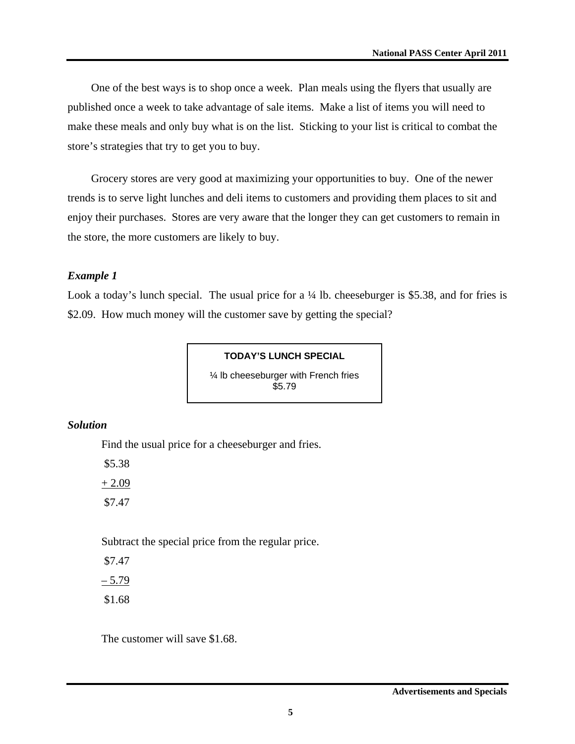One of the best ways is to shop once a week. Plan meals using the flyers that usually are published once a week to take advantage of sale items. Make a list of items you will need to make these meals and only buy what is on the list. Sticking to your list is critical to combat the store's strategies that try to get you to buy.

Grocery stores are very good at maximizing your opportunities to buy. One of the newer trends is to serve light lunches and deli items to customers and providing them places to sit and enjoy their purchases. Stores are very aware that the longer they can get customers to remain in the store, the more customers are likely to buy.

## *Example 1*

Look a today's lunch special. The usual price for a  $\frac{1}{4}$  lb. cheeseburger is \$5.38, and for fries is \$2.09. How much money will the customer save by getting the special?

### **TODAY'S LUNCH SPECIAL**

¼ lb cheeseburger with French fries \$5.79

## *Solution*

Find the usual price for a cheeseburger and fries.

\$5.38

 $+ 2.09$ \$7.47

Subtract the special price from the regular price.

 \$7.47  $-5.79$ 

\$1.68

The customer will save \$1.68.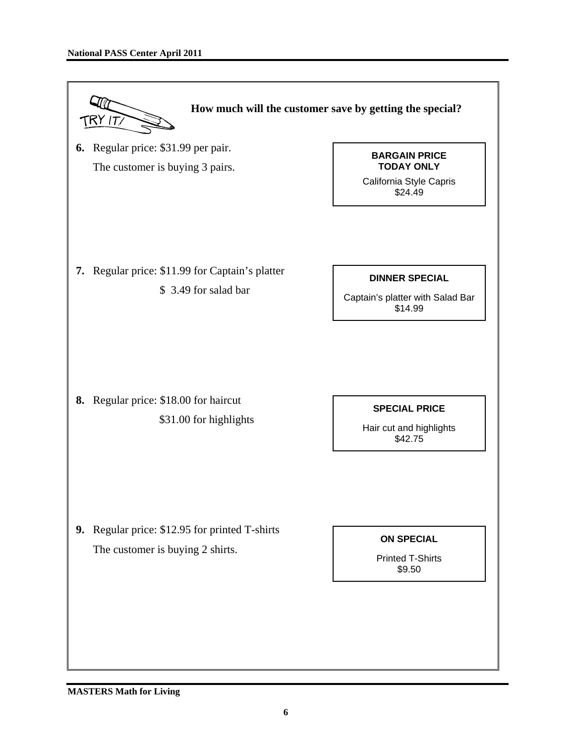

#### **MASTERS Math for Living**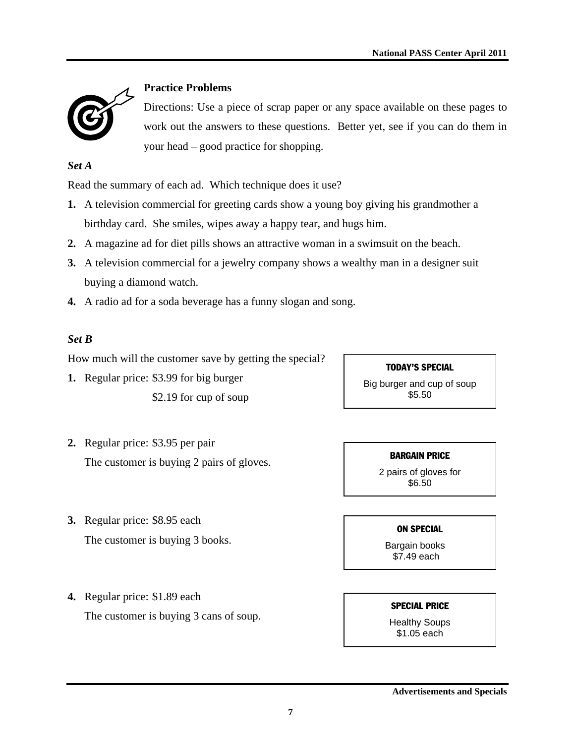

# **Practice Problems**

Directions: Use a piece of scrap paper or any space available on these pages to work out the answers to these questions. Better yet, see if you can do them in your head – good practice for shopping.

*Set A* 

Read the summary of each ad. Which technique does it use?

- **1.** A television commercial for greeting cards show a young boy giving his grandmother a birthday card. She smiles, wipes away a happy tear, and hugs him.
- **2.** A magazine ad for diet pills shows an attractive woman in a swimsuit on the beach.
- **3.** A television commercial for a jewelry company shows a wealthy man in a designer suit buying a diamond watch.
- **4.** A radio ad for a soda beverage has a funny slogan and song.

# *Set B*

How much will the customer save by getting the special?

**1.** Regular price: \$3.99 for big burger \$2.19 for cup of soup

## TODAY'S SPECIAL

Big burger and cup of soup \$5.50

- **2.** Regular price: \$3.95 per pair The customer is buying 2 pairs of gloves.
- **3.** Regular price: \$8.95 each The customer is buying 3 books.

## BARGAIN PRICE

2 pairs of gloves for \$6.50

#### ON SPECIAL

 Bargain books \$7.49 each

**4.** Regular price: \$1.89 each The customer is buying 3 cans of soup.

SPECIAL PRICE

Healthy Soups \$1.05 each